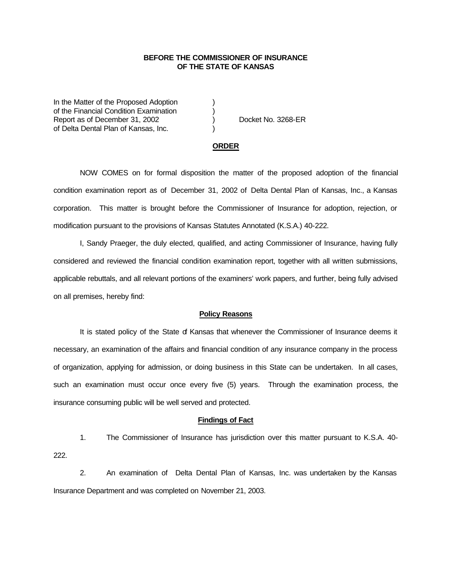## **BEFORE THE COMMISSIONER OF INSURANCE OF THE STATE OF KANSAS**

In the Matter of the Proposed Adoption (1) of the Financial Condition Examination ) Report as of December 31, 2002 (a) Docket No. 3268-ER of Delta Dental Plan of Kansas, Inc. )

### **ORDER**

NOW COMES on for formal disposition the matter of the proposed adoption of the financial condition examination report as of December 31, 2002 of Delta Dental Plan of Kansas, Inc., a Kansas corporation. This matter is brought before the Commissioner of Insurance for adoption, rejection, or modification pursuant to the provisions of Kansas Statutes Annotated (K.S.A.) 40-222.

I, Sandy Praeger, the duly elected, qualified, and acting Commissioner of Insurance, having fully considered and reviewed the financial condition examination report, together with all written submissions, applicable rebuttals, and all relevant portions of the examiners' work papers, and further, being fully advised on all premises, hereby find:

#### **Policy Reasons**

It is stated policy of the State of Kansas that whenever the Commissioner of Insurance deems it necessary, an examination of the affairs and financial condition of any insurance company in the process of organization, applying for admission, or doing business in this State can be undertaken. In all cases, such an examination must occur once every five (5) years. Through the examination process, the insurance consuming public will be well served and protected.

## **Findings of Fact**

1. The Commissioner of Insurance has jurisdiction over this matter pursuant to K.S.A. 40- 222.

2. An examination of Delta Dental Plan of Kansas, Inc. was undertaken by the Kansas Insurance Department and was completed on November 21, 2003.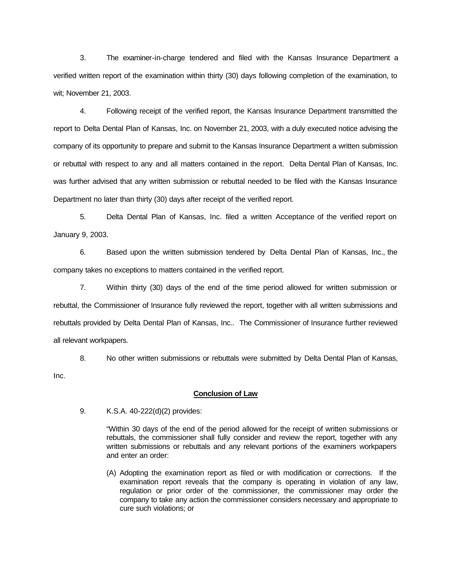3. The examiner-in-charge tendered and filed with the Kansas Insurance Department a verified written report of the examination within thirty (30) days following completion of the examination, to wit; November 21, 2003.

4. Following receipt of the verified report, the Kansas Insurance Department transmitted the report to Delta Dental Plan of Kansas, Inc. on November 21, 2003, with a duly executed notice advising the company of its opportunity to prepare and submit to the Kansas Insurance Department a written submission or rebuttal with respect to any and all matters contained in the report. Delta Dental Plan of Kansas, Inc. was further advised that any written submission or rebuttal needed to be filed with the Kansas Insurance Department no later than thirty (30) days after receipt of the verified report.

5. Delta Dental Plan of Kansas, Inc. filed a written Acceptance of the verified report on January 9, 2003.

6. Based upon the written submission tendered by Delta Dental Plan of Kansas, Inc., the company takes no exceptions to matters contained in the verified report.

7. Within thirty (30) days of the end of the time period allowed for written submission or rebuttal, the Commissioner of Insurance fully reviewed the report, together with all written submissions and rebuttals provided by Delta Dental Plan of Kansas, Inc.. The Commissioner of Insurance further reviewed all relevant workpapers.

8. No other written submissions or rebuttals were submitted by Delta Dental Plan of Kansas, Inc.

### **Conclusion of Law**

9. K.S.A. 40-222(d)(2) provides:

"Within 30 days of the end of the period allowed for the receipt of written submissions or rebuttals, the commissioner shall fully consider and review the report, together with any written submissions or rebuttals and any relevant portions of the examiners workpapers and enter an order:

(A) Adopting the examination report as filed or with modification or corrections. If the examination report reveals that the company is operating in violation of any law, regulation or prior order of the commissioner, the commissioner may order the company to take any action the commissioner considers necessary and appropriate to cure such violations; or